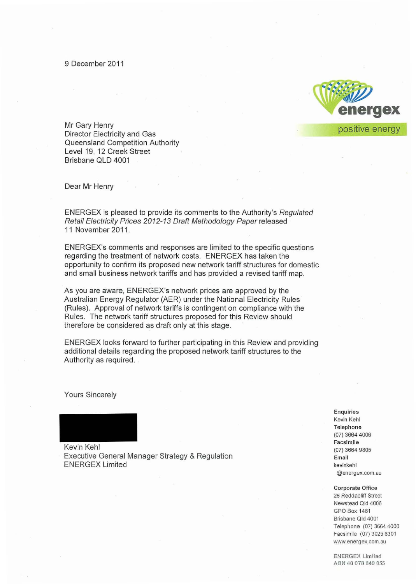

Mr Gary Henry Director Electricity and Gas Queensland Competition Authority Level 19, 12 Creek Street Brisbane QLD 4001

Dear Mr Henry

ENERGEX is pleased to provide its comments to the Authority's Regulated Retail Electricity Prices 2012-13 Draft Methodology Paper released 11 November 2011 .

ENERGEX's comments and responses are limited to the specific questions regarding the treatment of network costs. ENERGEX has taken the opportunity to confirm its proposed new network tariff structures for domestic and small business network tariffs and has provided a revised tariff map.

As you are aware, ENERGEX's network prices are approved by the Australian Energy Regulator (AER) under the National Electricity Rules (Rules). Approval of network tariffs is contingent on compliance with the Rules. The network tariff structures proposed for this Review should therefore be considered as draft only at this stage. .

ENERGEX looks forward to further participating in this Review and providing additional details regarding the proposed network tariff structures to the Authority as required.

Yours Sincerely

Kevin Kehl Executive General Manager Strategy & Regulation ENERGEX Limited

**Enquiries Kevin Kehl Telephone**  (07) 3664 4006 **Facsimile**  (07) 3664 9805 **Email kevinkehl @energex.com.au** 

**Corporate Office 26 Reddactiff Street Newstead Qld 4006**  GPO Box 1461 **Brisbane Qld 4001**  Telephone (07) 3664 4000 Facsimile (07) 3025 8301 **www.energex.com.au** 

ENERGEX Limited ABN 40 078 349 055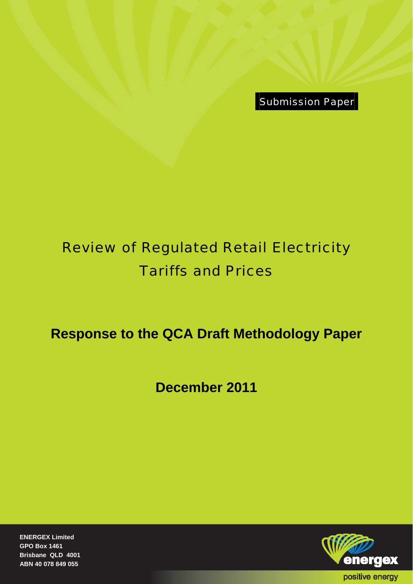Submission Paper

# Review of Regulated Retail Electricity Tariffs and Prices

# **Response to the QCA Draft Methodology Paper**

**December 2011** 

**ENERGEX Limited GPO Box 1461 Brisbane QLD 4001 ABN 40 078 849 055** 

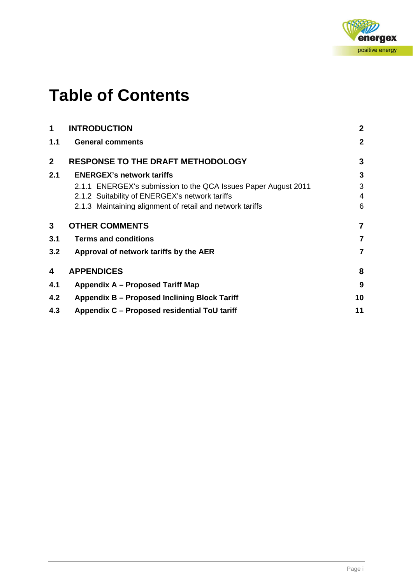

# **Table of Contents**

| <b>INTRODUCTION</b>                                            | $\boldsymbol{2}$ |
|----------------------------------------------------------------|------------------|
| <b>General comments</b>                                        | $\overline{2}$   |
| <b>RESPONSE TO THE DRAFT METHODOLOGY</b>                       | 3                |
| <b>ENERGEX's network tariffs</b>                               | 3                |
| 2.1.1 ENERGEX's submission to the QCA Issues Paper August 2011 | 3                |
| 2.1.2 Suitability of ENERGEX's network tariffs                 | 4                |
| 2.1.3 Maintaining alignment of retail and network tariffs      | 6                |
| <b>OTHER COMMENTS</b>                                          | 7                |
| <b>Terms and conditions</b>                                    | 7                |
| Approval of network tariffs by the AER                         | 7                |
| <b>APPENDICES</b>                                              | 8                |
| Appendix A – Proposed Tariff Map                               | 9                |
| Appendix B - Proposed Inclining Block Tariff                   | 10               |
| Appendix C - Proposed residential ToU tariff                   | 11               |
|                                                                |                  |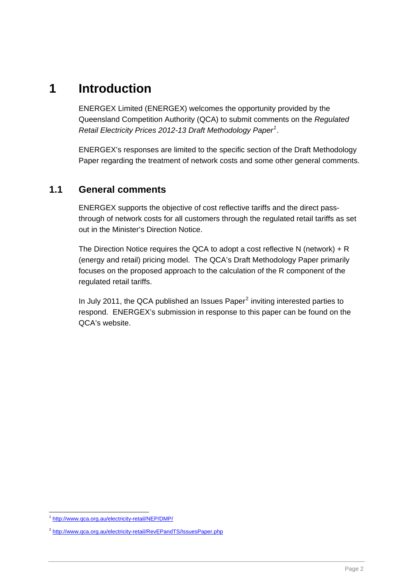# <span id="page-3-0"></span>**1 Introduction**

ENERGEX Limited (ENERGEX) welcomes the opportunity provided by the Queensland Competition Authority (QCA) to submit comments on the *Regulated Retail Electricity Prices 2012-13 Draft Methodology Paper[1](#page-3-2)* .

ENERGEX's responses are limited to the specific section of the Draft Methodology Paper regarding the treatment of network costs and some other general comments.

### <span id="page-3-1"></span>**1.1 General comments**

ENERGEX supports the objective of cost reflective tariffs and the direct passthrough of network costs for all customers through the regulated retail tariffs as set out in the Minister's Direction Notice.

The Direction Notice requires the QCA to adopt a cost reflective N (network) + R (energy and retail) pricing model. The QCA's Draft Methodology Paper primarily focuses on the proposed approach to the calculation of the R component of the regulated retail tariffs.

In July [2](#page-3-3)011, the QCA published an Issues Paper $^2$  inviting interested parties to respond. ENERGEX's submission in response to this paper can be found on the QCA's website.

<span id="page-3-2"></span> $\overline{a}$ <sup>1</sup> <http://www.qca.org.au/electricity-retail/NEP/DMP/>

<span id="page-3-3"></span><sup>2</sup> <http://www.qca.org.au/electricity-retail/RevEPandTS/IssuesPaper.php>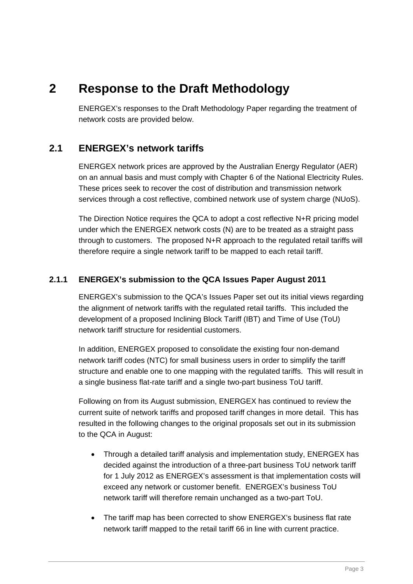# <span id="page-4-0"></span>**2 Response to the Draft Methodology**

ENERGEX's responses to the Draft Methodology Paper regarding the treatment of network costs are provided below.

### <span id="page-4-1"></span>**2.1 ENERGEX's network tariffs**

ENERGEX network prices are approved by the Australian Energy Regulator (AER) on an annual basis and must comply with Chapter 6 of the National Electricity Rules. These prices seek to recover the cost of distribution and transmission network services through a cost reflective, combined network use of system charge (NUoS).

The Direction Notice requires the QCA to adopt a cost reflective N+R pricing model under which the ENERGEX network costs (N) are to be treated as a straight pass through to customers. The proposed N+R approach to the regulated retail tariffs will therefore require a single network tariff to be mapped to each retail tariff.

#### <span id="page-4-2"></span>**2.1.1 ENERGEX's submission to the QCA Issues Paper August 2011**

ENERGEX's submission to the QCA's Issues Paper set out its initial views regarding the alignment of network tariffs with the regulated retail tariffs. This included the development of a proposed Inclining Block Tariff (IBT) and Time of Use (ToU) network tariff structure for residential customers.

In addition, ENERGEX proposed to consolidate the existing four non-demand network tariff codes (NTC) for small business users in order to simplify the tariff structure and enable one to one mapping with the regulated tariffs. This will result in a single business flat-rate tariff and a single two-part business ToU tariff.

Following on from its August submission, ENERGEX has continued to review the current suite of network tariffs and proposed tariff changes in more detail. This has resulted in the following changes to the original proposals set out in its submission to the QCA in August:

- Through a detailed tariff analysis and implementation study, ENERGEX has decided against the introduction of a three-part business ToU network tariff for 1 July 2012 as ENERGEX's assessment is that implementation costs will exceed any network or customer benefit. ENERGEX's business ToU network tariff will therefore remain unchanged as a two-part ToU.
- The tariff map has been corrected to show ENERGEX's business flat rate network tariff mapped to the retail tariff 66 in line with current practice.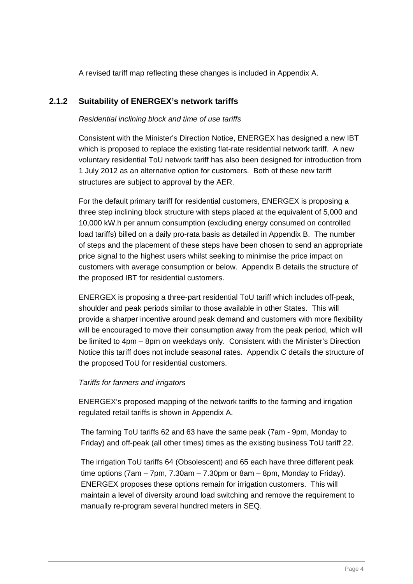A revised tariff map reflecting these changes is included in Appendix A.

#### <span id="page-5-0"></span>**2.1.2 Suitability of ENERGEX's network tariffs**

#### *Residential inclining block and time of use tariffs*

Consistent with the Minister's Direction Notice, ENERGEX has designed a new IBT which is proposed to replace the existing flat-rate residential network tariff. A new voluntary residential ToU network tariff has also been designed for introduction from 1 July 2012 as an alternative option for customers. Both of these new tariff structures are subject to approval by the AER.

For the default primary tariff for residential customers, ENERGEX is proposing a three step inclining block structure with steps placed at the equivalent of 5,000 and 10,000 kW.h per annum consumption (excluding energy consumed on controlled load tariffs) billed on a daily pro-rata basis as detailed in Appendix B. The number of steps and the placement of these steps have been chosen to send an appropriate price signal to the highest users whilst seeking to minimise the price impact on customers with average consumption or below. Appendix B details the structure of the proposed IBT for residential customers.

ENERGEX is proposing a three-part residential ToU tariff which includes off-peak, shoulder and peak periods similar to those available in other States. This will provide a sharper incentive around peak demand and customers with more flexibility will be encouraged to move their consumption away from the peak period, which will be limited to 4pm – 8pm on weekdays only. Consistent with the Minister's Direction Notice this tariff does not include seasonal rates. Appendix C details the structure of the proposed ToU for residential customers.

#### *Tariffs for farmers and irrigators*

ENERGEX's proposed mapping of the network tariffs to the farming and irrigation regulated retail tariffs is shown in Appendix A.

The farming ToU tariffs 62 and 63 have the same peak (7am - 9pm, Monday to Friday) and off-peak (all other times) times as the existing business ToU tariff 22.

The irrigation ToU tariffs 64 (Obsolescent) and 65 each have three different peak time options (7am – 7pm, 7.30am – 7.30pm or 8am – 8pm, Monday to Friday). ENERGEX proposes these options remain for irrigation customers. This will maintain a level of diversity around load switching and remove the requirement to manually re-program several hundred meters in SEQ.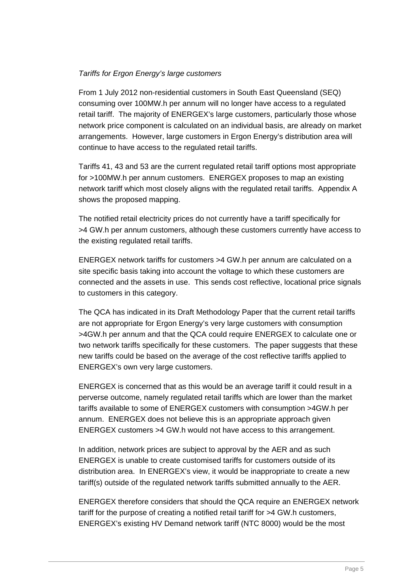#### *Tariffs for Ergon Energy's large customers*

From 1 July 2012 non-residential customers in South East Queensland (SEQ) consuming over 100MW.h per annum will no longer have access to a regulated retail tariff. The majority of ENERGEX's large customers, particularly those whose network price component is calculated on an individual basis, are already on market arrangements. However, large customers in Ergon Energy's distribution area will continue to have access to the regulated retail tariffs.

Tariffs 41, 43 and 53 are the current regulated retail tariff options most appropriate for >100MW.h per annum customers. ENERGEX proposes to map an existing network tariff which most closely aligns with the regulated retail tariffs. Appendix A shows the proposed mapping.

The notified retail electricity prices do not currently have a tariff specifically for >4 GW.h per annum customers, although these customers currently have access to the existing regulated retail tariffs.

ENERGEX network tariffs for customers >4 GW.h per annum are calculated on a site specific basis taking into account the voltage to which these customers are connected and the assets in use. This sends cost reflective, locational price signals to customers in this category.

The QCA has indicated in its Draft Methodology Paper that the current retail tariffs are not appropriate for Ergon Energy's very large customers with consumption >4GW.h per annum and that the QCA could require ENERGEX to calculate one or two network tariffs specifically for these customers. The paper suggests that these new tariffs could be based on the average of the cost reflective tariffs applied to ENERGEX's own very large customers.

ENERGEX is concerned that as this would be an average tariff it could result in a perverse outcome, namely regulated retail tariffs which are lower than the market tariffs available to some of ENERGEX customers with consumption >4GW.h per annum. ENERGEX does not believe this is an appropriate approach given ENERGEX customers >4 GW.h would not have access to this arrangement.

In addition, network prices are subject to approval by the AER and as such ENERGEX is unable to create customised tariffs for customers outside of its distribution area. In ENERGEX's view, it would be inappropriate to create a new tariff(s) outside of the regulated network tariffs submitted annually to the AER.

ENERGEX therefore considers that should the QCA require an ENERGEX network tariff for the purpose of creating a notified retail tariff for >4 GW.h customers, ENERGEX's existing HV Demand network tariff (NTC 8000) would be the most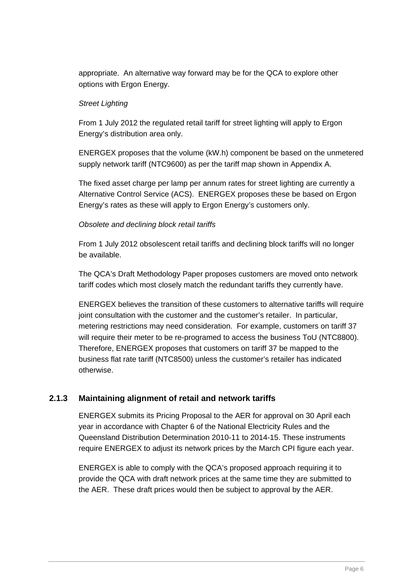appropriate. An alternative way forward may be for the QCA to explore other options with Ergon Energy.

#### *Street Lighting*

From 1 July 2012 the regulated retail tariff for street lighting will apply to Ergon Energy's distribution area only.

ENERGEX proposes that the volume (kW.h) component be based on the unmetered supply network tariff (NTC9600) as per the tariff map shown in Appendix A.

The fixed asset charge per lamp per annum rates for street lighting are currently a Alternative Control Service (ACS). ENERGEX proposes these be based on Ergon Energy's rates as these will apply to Ergon Energy's customers only.

#### *Obsolete and declining block retail tariffs*

From 1 July 2012 obsolescent retail tariffs and declining block tariffs will no longer be available.

The QCA's Draft Methodology Paper proposes customers are moved onto network tariff codes which most closely match the redundant tariffs they currently have.

ENERGEX believes the transition of these customers to alternative tariffs will require joint consultation with the customer and the customer's retailer. In particular, metering restrictions may need consideration. For example, customers on tariff 37 will require their meter to be re-programed to access the business ToU (NTC8800). Therefore, ENERGEX proposes that customers on tariff 37 be mapped to the business flat rate tariff (NTC8500) unless the customer's retailer has indicated otherwise.

#### <span id="page-7-0"></span>**2.1.3 Maintaining alignment of retail and network tariffs**

ENERGEX submits its Pricing Proposal to the AER for approval on 30 April each year in accordance with Chapter 6 of the National Electricity Rules and the Queensland Distribution Determination 2010-11 to 2014-15. These instruments require ENERGEX to adjust its network prices by the March CPI figure each year.

ENERGEX is able to comply with the QCA's proposed approach requiring it to provide the QCA with draft network prices at the same time they are submitted to the AER. These draft prices would then be subject to approval by the AER.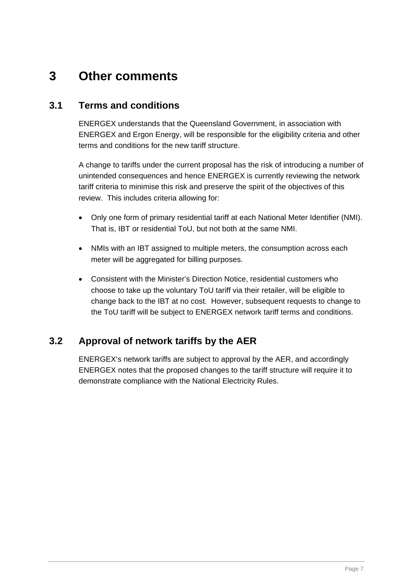# <span id="page-8-0"></span>**3 Other comments**

### <span id="page-8-1"></span>**3.1 Terms and conditions**

ENERGEX understands that the Queensland Government, in association with ENERGEX and Ergon Energy, will be responsible for the eligibility criteria and other terms and conditions for the new tariff structure.

A change to tariffs under the current proposal has the risk of introducing a number of unintended consequences and hence ENERGEX is currently reviewing the network tariff criteria to minimise this risk and preserve the spirit of the objectives of this review. This includes criteria allowing for:

- Only one form of primary residential tariff at each National Meter Identifier (NMI). That is, IBT or residential ToU, but not both at the same NMI.
- NMIs with an IBT assigned to multiple meters, the consumption across each meter will be aggregated for billing purposes.
- Consistent with the Minister's Direction Notice, residential customers who choose to take up the voluntary ToU tariff via their retailer, will be eligible to change back to the IBT at no cost. However, subsequent requests to change to the ToU tariff will be subject to ENERGEX network tariff terms and conditions.

## <span id="page-8-2"></span>**3.2 Approval of network tariffs by the AER**

ENERGEX's network tariffs are subject to approval by the AER, and accordingly ENERGEX notes that the proposed changes to the tariff structure will require it to demonstrate compliance with the National Electricity Rules.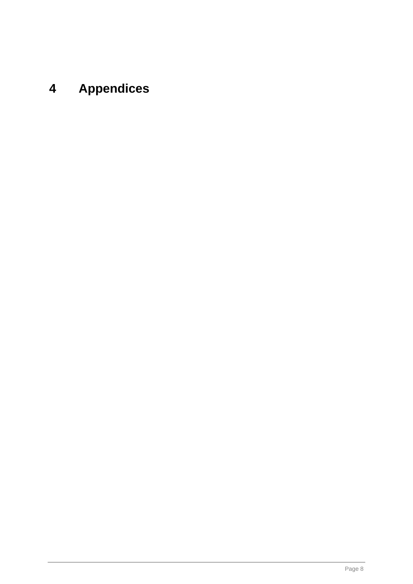# <span id="page-9-0"></span>**4 Appendices**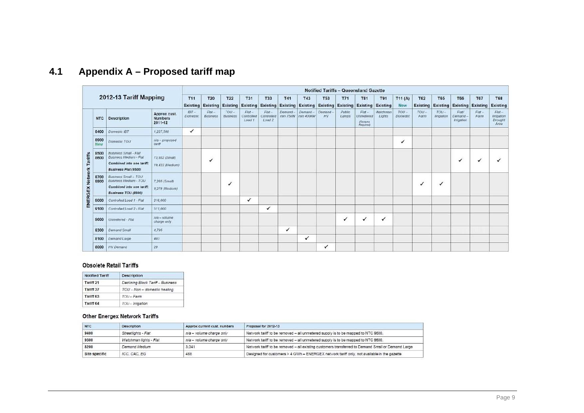|                 |              |                                                                                                                    |                                           |                     |                                                 |                           |                                  |                                             |                    |                      |               | <b>Notified Tariffs - Queensland Gazette</b>                      |                                               |                    |                      |                |                                                 |                                      |                               |                                                  |
|-----------------|--------------|--------------------------------------------------------------------------------------------------------------------|-------------------------------------------|---------------------|-------------------------------------------------|---------------------------|----------------------------------|---------------------------------------------|--------------------|----------------------|---------------|-------------------------------------------------------------------|-----------------------------------------------|--------------------|----------------------|----------------|-------------------------------------------------|--------------------------------------|-------------------------------|--------------------------------------------------|
|                 |              | 2012-13 Tariff Mapping                                                                                             |                                           | <b>T11</b>          | <b>T20</b><br><b>Existing Existing Existing</b> | <b>T22</b>                | <b>T31</b><br>Existing           | <b>T33</b>                                  | <b>T41</b>         | <b>T43</b>           | <b>T53</b>    | <b>T71</b><br><b>Existing Existing Existing Existing Existing</b> | <b>T81</b><br><b>Existing Existing</b>        | <b>T91</b>         | T11(A)<br><b>New</b> | <b>T62</b>     | <b>T65</b><br><b>Existing Existing Existing</b> | <b>T66</b>                           | <b>T67</b><br><b>Existing</b> | <b>T68</b><br><b>Existing</b>                    |
|                 | <b>NTC</b>   | <b>Description</b>                                                                                                 | Approx cust.<br><b>Numbers</b><br>2011-12 | $IBT -$<br>Domestic | $Flat -$<br>Business                            | $TOU-$<br><b>Business</b> | $Flat -$<br>Controlled<br>load 1 | $Flat -$<br>Controlled<br>Load <sub>2</sub> | Demand<br>min 75kW | Demand-<br>min 400kW | Demand-<br>HV | Public<br>Lamps                                                   | $Flat-$<br>Unmetered<br>(Rename)<br>Required) | Watchman<br>Lights | $TOU-$<br>Domestic   | $TOU-$<br>Farm | $TOU-$<br><i><b>Imgation</b></i>                | Flat<br>Demand-<br><b>Irrigation</b> | $Flat -$<br>Farm              | $Flat -$<br><b>Irrigation</b><br>Drought<br>Area |
|                 | 8400         | Domestic IBT                                                                                                       | 1,227,588                                 | $\checkmark$        |                                                 |                           |                                  |                                             |                    |                      |               |                                                                   |                                               |                    |                      |                |                                                 |                                      |                               |                                                  |
|                 | 8900<br>New  | Domestic TOU                                                                                                       | $n/a$ - proposed<br>tariff                |                     |                                                 |                           |                                  |                                             |                    |                      |               |                                                                   |                                               |                    | ✓                    |                |                                                 |                                      |                               |                                                  |
| Tariffs         | 8500<br>8600 | Business Small - Flat<br><b>Business Medium - Flat</b><br>Combined into one tariff:<br><b>Business Flat (8500)</b> | 73.932 (Small)<br>19,422 (Medium)         |                     |                                                 |                           |                                  |                                             |                    |                      |               |                                                                   |                                               |                    |                      |                |                                                 | ✓                                    |                               |                                                  |
| ENERGEX Network | 8700<br>8800 | <b>Business Small - TOU</b><br>Business Medium - TOU<br>Combined into one tariff:<br><b>Business TOU (8800)</b>    | 7,265 (Small)<br>8,278 (Medium)           |                     |                                                 | ✓                         |                                  |                                             |                    |                      |               |                                                                   |                                               |                    |                      | ✓              | ✓                                               |                                      |                               |                                                  |
|                 | 9000         | Controlled Load 1 - Flat                                                                                           | 216,000                                   |                     |                                                 |                           | $\checkmark$                     |                                             |                    |                      |               |                                                                   |                                               |                    |                      |                |                                                 |                                      |                               |                                                  |
|                 | 9100         | Controlled Load 2 - Flat                                                                                           | 511,000                                   |                     |                                                 |                           |                                  | ✓                                           |                    |                      |               |                                                                   |                                               |                    |                      |                |                                                 |                                      |                               |                                                  |
|                 | 9600         | Unmetered - Flat                                                                                                   | $n/a$ - volume<br>charge only.            |                     |                                                 |                           |                                  |                                             |                    |                      |               | ✔                                                                 | ✓                                             | ✓                  |                      |                |                                                 |                                      |                               |                                                  |
|                 | 8300         | <b>Demand Small</b>                                                                                                | 4.795                                     |                     |                                                 |                           |                                  |                                             | ✓                  |                      |               |                                                                   |                                               |                    |                      |                |                                                 |                                      |                               |                                                  |
|                 | 8100         | Demand Large                                                                                                       | 403                                       |                     |                                                 |                           |                                  |                                             |                    | ✓                    |               |                                                                   |                                               |                    |                      |                |                                                 |                                      |                               |                                                  |
|                 | 8000         | <b>HV</b> Demand                                                                                                   | 29                                        |                     |                                                 |                           |                                  |                                             |                    |                      | ✓             |                                                                   |                                               |                    |                      |                |                                                 |                                      |                               |                                                  |

#### **4.1Appendix A – Proposed tariff map**

#### Obsolete Retail Tariffs

| <b>Notified Tariff</b> | <b>Description</b>                |  |  |  |
|------------------------|-----------------------------------|--|--|--|
| Tariff 21              | Declining Block Tariff - Business |  |  |  |
| Tariff 37              | TOU - Non - domestic heating      |  |  |  |
| Tariff 63              | $TOU-Farm$                        |  |  |  |
| Tariff 64              | $TOU-Imigation$                   |  |  |  |

#### other Energex Network Tariffs

<span id="page-10-0"></span>

| <b>NTC</b>    | <b>Description</b>         | Approx current cust. numbers | Proposal for 2012-13                                                                              |
|---------------|----------------------------|------------------------------|---------------------------------------------------------------------------------------------------|
| 9400          | <b>Streetlights - Flat</b> | n/a - volume charge only     | Network tariff to be removed - all unmetered supply is to be mapped to NTC 9600.                  |
| 9500          | Watchman lights - Flat     | n/a - volume charge only     | Network tariff to be removed - all unmetered supply is to be mapped to NTC 9600.                  |
| 8200          | Demand Medium              | 3.041                        | Network tariff to be removed - all existing customers transferred to Demand Small or Demand Large |
| Site specific | ICC, CAC, EG               | 488                          | Designed for customers > 4 GWh - ENERGEX network tariff only, not available in the gazette        |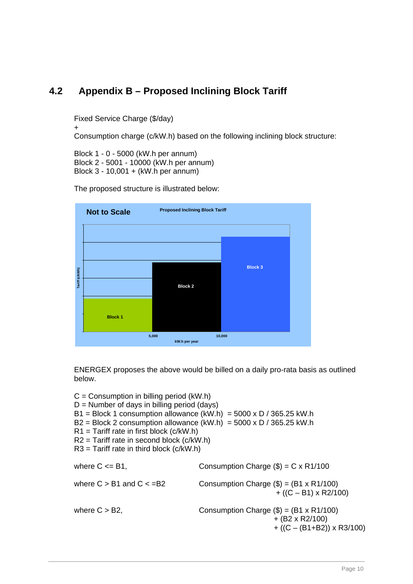## <span id="page-11-0"></span>**4.2 Appendix B – Proposed Inclining Block Tariff**

Fixed Service Charge (\$/day)

+

Consumption charge (c/kW.h) based on the following inclining block structure:

Block 1 - 0 - 5000 (kW.h per annum) Block 2 - 5001 - 10000 (kW.h per annum) Block 3 - 10,001 + (kW.h per annum)



The proposed structure is illustrated below:

ENERGEX proposes the above would be billed on a daily pro-rata basis as outlined below.

 $C =$  Consumption in billing period (kW.h)  $D =$  Number of days in billing period (days)  $B1 = Block 1$  consumption allowance  $(kW.h) = 5000 \times D / 365.25$  kW.h  $B2 = Block 2$  consumption allowance  $(kW.h) = 5000 \times D / 365.25$  kW.h  $R1$  = Tariff rate in first block (c/kW.h) R2 = Tariff rate in second block (c/kW.h)  $R3$  = Tariff rate in third block (c/kW.h) where  $C \leq B1$ , Consumption Charge  $(\$) = C \times R1/100$ where  $C > B1$  and  $C < B2$  Consumption Charge  $(\$) = (B1 \times R1/100)$  $+ ((C - B1) \times R2/100)$ where  $C > B2$ , Consumption Charge  $(\$) = (B1 \times R1/100)$  + (B2 x R2/100)  $+ ((C - (B1+B2)) \times R3/100)$